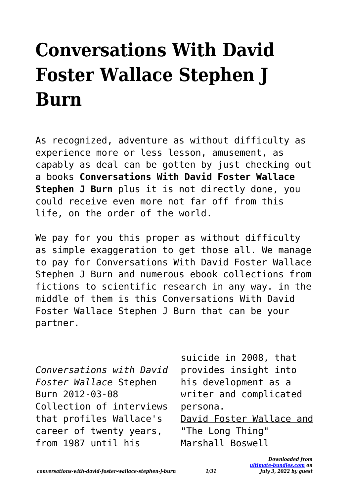## **Conversations With David Foster Wallace Stephen J Burn**

As recognized, adventure as without difficulty as experience more or less lesson, amusement, as capably as deal can be gotten by just checking out a books **Conversations With David Foster Wallace Stephen J Burn** plus it is not directly done, you could receive even more not far off from this life, on the order of the world.

We pay for you this proper as without difficulty as simple exaggeration to get those all. We manage to pay for Conversations With David Foster Wallace Stephen J Burn and numerous ebook collections from fictions to scientific research in any way. in the middle of them is this Conversations With David Foster Wallace Stephen J Burn that can be your partner.

*Conversations with David Foster Wallace* Stephen Burn 2012-03-08 Collection of interviews that profiles Wallace's career of twenty years, from 1987 until his

suicide in 2008, that provides insight into his development as a writer and complicated persona. David Foster Wallace and "The Long Thing" Marshall Boswell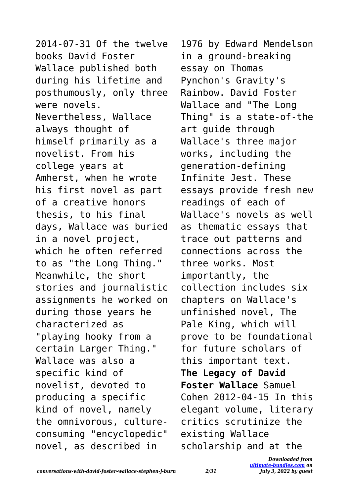2014-07-31 Of the twelve books David Foster Wallace published both during his lifetime and posthumously, only three were novels. Nevertheless, Wallace always thought of himself primarily as a novelist. From his college years at Amherst, when he wrote his first novel as part of a creative honors thesis, to his final days, Wallace was buried in a novel project, which he often referred to as "the Long Thing." Meanwhile, the short stories and journalistic assignments he worked on during those years he characterized as "playing hooky from a certain Larger Thing." Wallace was also a specific kind of novelist, devoted to producing a specific kind of novel, namely the omnivorous, cultureconsuming "encyclopedic" novel, as described in

1976 by Edward Mendelson in a ground-breaking essay on Thomas Pynchon's Gravity's Rainbow. David Foster Wallace and "The Long Thing" is a state-of-the art guide through Wallace's three major works, including the generation-defining Infinite Jest. These essays provide fresh new readings of each of Wallace's novels as well as thematic essays that trace out patterns and connections across the three works. Most importantly, the collection includes six chapters on Wallace's unfinished novel, The Pale King, which will prove to be foundational for future scholars of this important text. **The Legacy of David Foster Wallace** Samuel Cohen 2012-04-15 In this elegant volume, literary critics scrutinize the existing Wallace scholarship and at the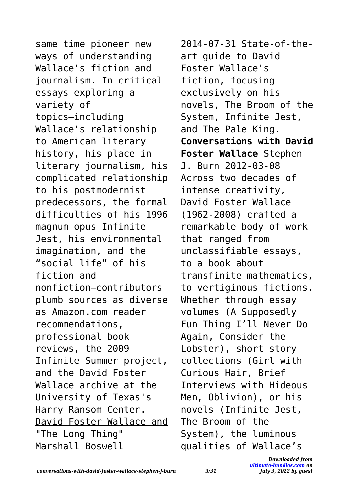same time pioneer new ways of understanding Wallace's fiction and journalism. In critical essays exploring a variety of topics—including Wallace's relationship to American literary history, his place in literary journalism, his complicated relationship to his postmodernist predecessors, the formal difficulties of his 1996 magnum opus Infinite Jest, his environmental imagination, and the "social life" of his fiction and nonfiction—contributors plumb sources as diverse as Amazon.com reader recommendations, professional book reviews, the 2009 Infinite Summer project, and the David Foster Wallace archive at the University of Texas's Harry Ransom Center. David Foster Wallace and "The Long Thing" Marshall Boswell

2014-07-31 State-of-theart guide to David Foster Wallace's fiction, focusing exclusively on his novels, The Broom of the System, Infinite Jest, and The Pale King. **Conversations with David Foster Wallace** Stephen J. Burn 2012-03-08 Across two decades of intense creativity, David Foster Wallace (1962-2008) crafted a remarkable body of work that ranged from unclassifiable essays, to a book about transfinite mathematics, to vertiginous fictions. Whether through essay volumes (A Supposedly Fun Thing I'll Never Do Again, Consider the Lobster), short story collections (Girl with Curious Hair, Brief Interviews with Hideous Men, Oblivion), or his novels (Infinite Jest, The Broom of the System), the luminous qualities of Wallace's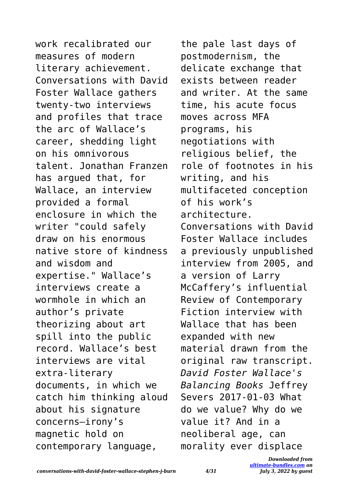work recalibrated our measures of modern literary achievement. Conversations with David Foster Wallace gathers twenty-two interviews and profiles that trace the arc of Wallace's career, shedding light on his omnivorous talent. Jonathan Franzen has argued that, for Wallace, an interview provided a formal enclosure in which the writer "could safely draw on his enormous native store of kindness and wisdom and expertise." Wallace's interviews create a wormhole in which an author's private theorizing about art spill into the public record. Wallace's best interviews are vital extra-literary documents, in which we catch him thinking aloud about his signature concerns—irony's magnetic hold on contemporary language,

the pale last days of postmodernism, the delicate exchange that exists between reader and writer. At the same time, his acute focus moves across MFA programs, his negotiations with religious belief, the role of footnotes in his writing, and his multifaceted conception of his work's architecture. Conversations with David Foster Wallace includes a previously unpublished interview from 2005, and a version of Larry McCaffery's influential Review of Contemporary Fiction interview with Wallace that has been expanded with new material drawn from the original raw transcript. *David Foster Wallace's Balancing Books* Jeffrey Severs 2017-01-03 What do we value? Why do we value it? And in a neoliberal age, can morality ever displace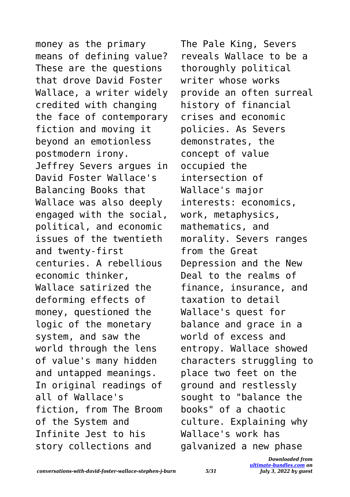money as the primary means of defining value? These are the questions that drove David Foster Wallace, a writer widely credited with changing the face of contemporary fiction and moving it beyond an emotionless postmodern irony. Jeffrey Severs argues in David Foster Wallace's Balancing Books that Wallace was also deeply engaged with the social, political, and economic issues of the twentieth and twenty-first centuries. A rebellious economic thinker, Wallace satirized the deforming effects of money, questioned the logic of the monetary system, and saw the world through the lens of value's many hidden and untapped meanings. In original readings of all of Wallace's fiction, from The Broom of the System and Infinite Jest to his story collections and

The Pale King, Severs reveals Wallace to be a thoroughly political writer whose works provide an often surreal history of financial crises and economic policies. As Severs demonstrates, the concept of value occupied the intersection of Wallace's major interests: economics, work, metaphysics, mathematics, and morality. Severs ranges from the Great Depression and the New Deal to the realms of finance, insurance, and taxation to detail Wallace's quest for balance and grace in a world of excess and entropy. Wallace showed characters struggling to place two feet on the ground and restlessly sought to "balance the books" of a chaotic culture. Explaining why Wallace's work has galvanized a new phase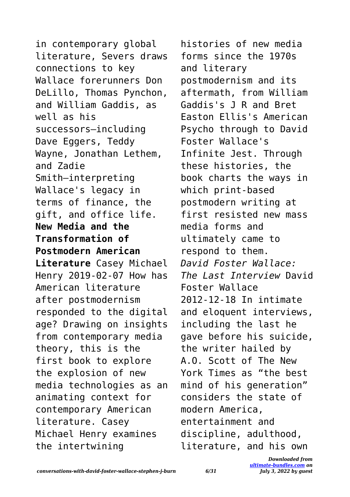in contemporary global literature, Severs draws connections to key Wallace forerunners Don DeLillo, Thomas Pynchon, and William Gaddis, as well as his successors—including Dave Eggers, Teddy Wayne, Jonathan Lethem, and Zadie Smith—interpreting Wallace's legacy in terms of finance, the gift, and office life. **New Media and the Transformation of Postmodern American Literature** Casey Michael Henry 2019-02-07 How has American literature after postmodernism responded to the digital age? Drawing on insights from contemporary media theory, this is the first book to explore the explosion of new media technologies as an animating context for contemporary American literature. Casey Michael Henry examines the intertwining

histories of new media forms since the 1970s and literary postmodernism and its aftermath, from William Gaddis's J R and Bret Easton Ellis's American Psycho through to David Foster Wallace's Infinite Jest. Through these histories, the book charts the ways in which print-based postmodern writing at first resisted new mass media forms and ultimately came to respond to them. *David Foster Wallace: The Last Interview* David Foster Wallace 2012-12-18 In intimate and eloquent interviews, including the last he gave before his suicide, the writer hailed by A.O. Scott of The New York Times as "the best mind of his generation" considers the state of modern America, entertainment and discipline, adulthood, literature, and his own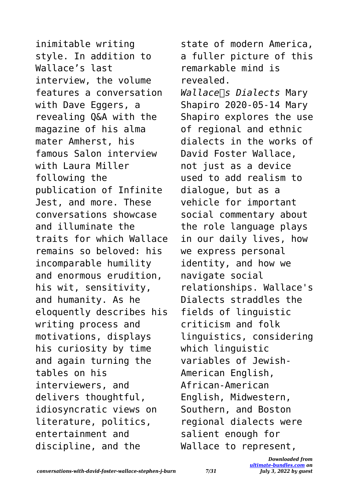inimitable writing style. In addition to Wallace's last interview, the volume features a conversation with Dave Eggers, a revealing Q&A with the magazine of his alma mater Amherst, his famous Salon interview with Laura Miller following the publication of Infinite Jest, and more. These conversations showcase and illuminate the traits for which Wallace remains so beloved: his incomparable humility and enormous erudition, his wit, sensitivity, and humanity. As he eloquently describes his writing process and motivations, displays his curiosity by time and again turning the tables on his interviewers, and delivers thoughtful, idiosyncratic views on literature, politics, entertainment and discipline, and the

state of modern America, a fuller picture of this remarkable mind is revealed. *Wallace*∏s *Dialects* Mary Shapiro 2020-05-14 Mary Shapiro explores the use of regional and ethnic dialects in the works of David Foster Wallace, not just as a device used to add realism to dialogue, but as a vehicle for important social commentary about the role language plays in our daily lives, how we express personal identity, and how we navigate social relationships. Wallace's Dialects straddles the fields of linguistic criticism and folk linguistics, considering which linguistic variables of Jewish-American English, African-American English, Midwestern, Southern, and Boston regional dialects were salient enough for Wallace to represent,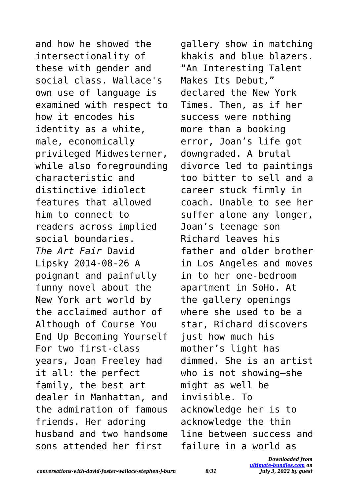and how he showed the intersectionality of these with gender and social class. Wallace's own use of language is examined with respect to how it encodes his identity as a white, male, economically privileged Midwesterner, while also foregrounding characteristic and distinctive idiolect features that allowed him to connect to readers across implied social boundaries. *The Art Fair* David Lipsky 2014-08-26 A poignant and painfully funny novel about the New York art world by the acclaimed author of Although of Course You End Up Becoming Yourself For two first-class years, Joan Freeley had it all: the perfect family, the best art dealer in Manhattan, and the admiration of famous friends. Her adoring husband and two handsome sons attended her first

gallery show in matching khakis and blue blazers. "An Interesting Talent Makes Its Debut," declared the New York Times. Then, as if her success were nothing more than a booking error, Joan's life got downgraded. A brutal divorce led to paintings too bitter to sell and a career stuck firmly in coach. Unable to see her suffer alone any longer, Joan's teenage son Richard leaves his father and older brother in Los Angeles and moves in to her one-bedroom apartment in SoHo. At the gallery openings where she used to be a star, Richard discovers just how much his mother's light has dimmed. She is an artist who is not showing—she might as well be invisible. To acknowledge her is to acknowledge the thin line between success and failure in a world as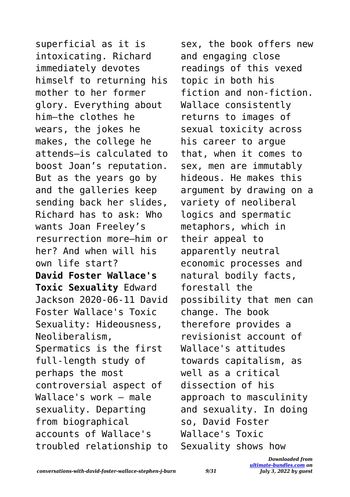superficial as it is intoxicating. Richard immediately devotes himself to returning his mother to her former glory. Everything about him—the clothes he wears, the jokes he makes, the college he attends—is calculated to boost Joan's reputation. But as the years go by and the galleries keep sending back her slides, Richard has to ask: Who wants Joan Freeley's resurrection more—him or her? And when will his own life start? **David Foster Wallace's Toxic Sexuality** Edward Jackson 2020-06-11 David Foster Wallace's Toxic Sexuality: Hideousness, Neoliberalism, Spermatics is the first full-length study of perhaps the most controversial aspect of Wallace's work – male sexuality. Departing from biographical accounts of Wallace's troubled relationship to

sex, the book offers new and engaging close readings of this vexed topic in both his fiction and non-fiction. Wallace consistently returns to images of sexual toxicity across his career to argue that, when it comes to sex, men are immutably hideous. He makes this argument by drawing on a variety of neoliberal logics and spermatic metaphors, which in their appeal to apparently neutral economic processes and natural bodily facts, forestall the possibility that men can change. The book therefore provides a revisionist account of Wallace's attitudes towards capitalism, as well as a critical dissection of his approach to masculinity and sexuality. In doing so, David Foster Wallace's Toxic Sexuality shows how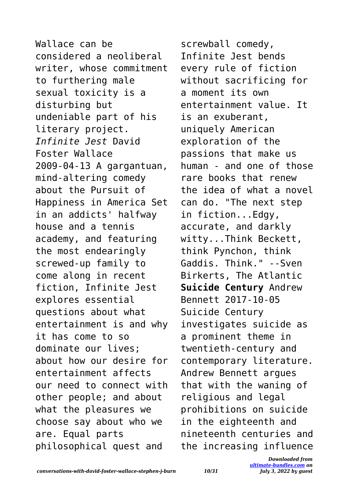Wallace can be considered a neoliberal writer, whose commitment to furthering male sexual toxicity is a disturbing but undeniable part of his literary project. *Infinite Jest* David Foster Wallace 2009-04-13 A gargantuan, mind-altering comedy about the Pursuit of Happiness in America Set in an addicts' halfway house and a tennis academy, and featuring the most endearingly screwed-up family to come along in recent fiction, Infinite Jest explores essential questions about what entertainment is and why it has come to so dominate our lives; about how our desire for entertainment affects our need to connect with other people; and about what the pleasures we choose say about who we are. Equal parts philosophical quest and

screwball comedy, Infinite Jest bends every rule of fiction without sacrificing for a moment its own entertainment value. It is an exuberant, uniquely American exploration of the passions that make us human - and one of those rare books that renew the idea of what a novel can do. "The next step in fiction...Edgy, accurate, and darkly witty...Think Beckett, think Pynchon, think Gaddis. Think." --Sven Birkerts, The Atlantic **Suicide Century** Andrew Bennett 2017-10-05 Suicide Century investigates suicide as a prominent theme in twentieth-century and contemporary literature. Andrew Bennett argues that with the waning of religious and legal prohibitions on suicide in the eighteenth and nineteenth centuries and the increasing influence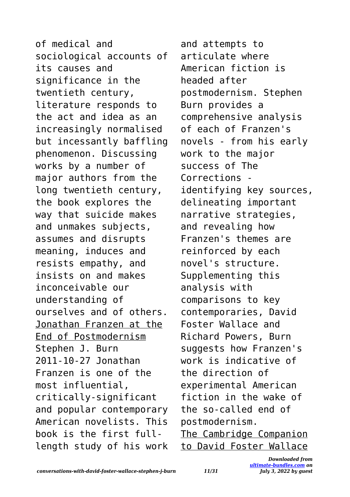of medical and sociological accounts of its causes and significance in the twentieth century, literature responds to the act and idea as an increasingly normalised but incessantly baffling phenomenon. Discussing works by a number of major authors from the long twentieth century, the book explores the way that suicide makes and unmakes subjects, assumes and disrupts meaning, induces and resists empathy, and insists on and makes inconceivable our understanding of ourselves and of others. Jonathan Franzen at the End of Postmodernism Stephen J. Burn 2011-10-27 Jonathan Franzen is one of the most influential, critically-significant and popular contemporary American novelists. This book is the first fulllength study of his work

and attempts to articulate where American fiction is headed after postmodernism. Stephen Burn provides a comprehensive analysis of each of Franzen's novels - from his early work to the major success of The Corrections identifying key sources, delineating important narrative strategies, and revealing how Franzen's themes are reinforced by each novel's structure. Supplementing this analysis with comparisons to key contemporaries, David Foster Wallace and Richard Powers, Burn suggests how Franzen's work is indicative of the direction of experimental American fiction in the wake of the so-called end of postmodernism. The Cambridge Companion to David Foster Wallace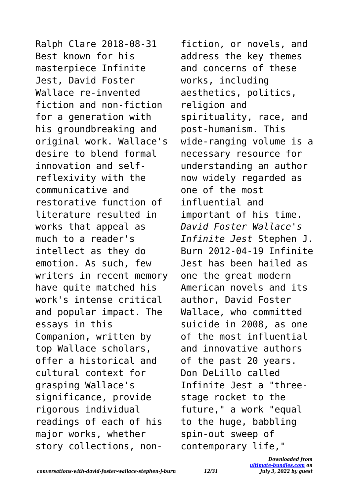Ralph Clare 2018-08-31 Best known for his masterpiece Infinite Jest, David Foster Wallace re-invented fiction and non-fiction for a generation with his groundbreaking and original work. Wallace's desire to blend formal innovation and selfreflexivity with the communicative and restorative function of literature resulted in works that appeal as much to a reader's intellect as they do emotion. As such, few writers in recent memory have quite matched his work's intense critical and popular impact. The essays in this Companion, written by top Wallace scholars, offer a historical and cultural context for grasping Wallace's significance, provide rigorous individual readings of each of his major works, whether story collections, nonfiction, or novels, and address the key themes and concerns of these works, including aesthetics, politics, religion and spirituality, race, and post-humanism. This wide-ranging volume is a necessary resource for understanding an author now widely regarded as one of the most influential and important of his time. *David Foster Wallace's Infinite Jest* Stephen J. Burn 2012-04-19 Infinite Jest has been hailed as one the great modern American novels and its author, David Foster Wallace, who committed suicide in 2008, as one of the most influential and innovative authors of the past 20 years. Don DeLillo called Infinite Jest a "threestage rocket to the future," a work "equal to the huge, babbling spin-out sweep of contemporary life,"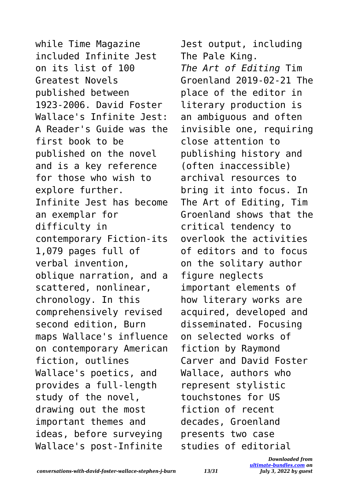while Time Magazine included Infinite Jest on its list of 100 Greatest Novels published between 1923-2006. David Foster Wallace's Infinite Jest: A Reader's Guide was the first book to be published on the novel and is a key reference for those who wish to explore further. Infinite Jest has become an exemplar for difficulty in contemporary Fiction-its 1,079 pages full of verbal invention, oblique narration, and a scattered, nonlinear, chronology. In this comprehensively revised second edition, Burn maps Wallace's influence on contemporary American fiction, outlines Wallace's poetics, and provides a full-length study of the novel, drawing out the most important themes and ideas, before surveying Wallace's post-Infinite

Jest output, including The Pale King. *The Art of Editing* Tim Groenland 2019-02-21 The place of the editor in literary production is an ambiguous and often invisible one, requiring close attention to publishing history and (often inaccessible) archival resources to bring it into focus. In The Art of Editing, Tim Groenland shows that the critical tendency to overlook the activities of editors and to focus on the solitary author figure neglects important elements of how literary works are acquired, developed and disseminated. Focusing on selected works of fiction by Raymond Carver and David Foster Wallace, authors who represent stylistic touchstones for US fiction of recent decades, Groenland presents two case studies of editorial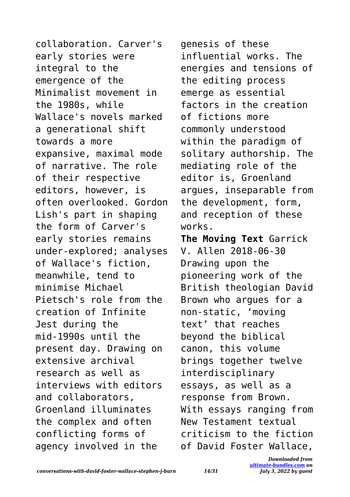collaboration. Carver's early stories were integral to the emergence of the Minimalist movement in the 1980s, while Wallace's novels marked a generational shift towards a more expansive, maximal mode of narrative. The role of their respective editors, however, is often overlooked. Gordon Lish's part in shaping the form of Carver's early stories remains under-explored; analyses of Wallace's fiction, meanwhile, tend to minimise Michael Pietsch's role from the creation of Infinite Jest during the mid-1990s until the present day. Drawing on extensive archival research as well as interviews with editors and collaborators, Groenland illuminates the complex and often conflicting forms of agency involved in the

genesis of these influential works. The energies and tensions of the editing process emerge as essential factors in the creation of fictions more commonly understood within the paradigm of solitary authorship. The mediating role of the editor is, Groenland argues, inseparable from the development, form, and reception of these works.

**The Moving Text** Garrick V. Allen 2018-06-30 Drawing upon the pioneering work of the British theologian David Brown who argues for a non-static, 'moving text' that reaches beyond the biblical canon, this volume brings together twelve interdisciplinary essays, as well as a response from Brown. With essays ranging from New Testament textual criticism to the fiction of David Foster Wallace,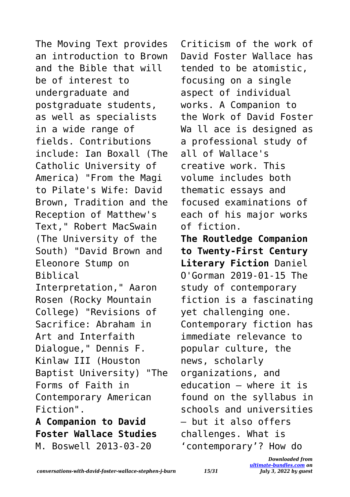The Moving Text provides an introduction to Brown and the Bible that will be of interest to undergraduate and postgraduate students, as well as specialists in a wide range of fields. Contributions include: Ian Boxall (The Catholic University of America) "From the Magi to Pilate's Wife: David Brown, Tradition and the Reception of Matthew's Text," Robert MacSwain (The University of the South) "David Brown and Eleonore Stump on Biblical Interpretation," Aaron Rosen (Rocky Mountain College) "Revisions of Sacrifice: Abraham in Art and Interfaith Dialogue," Dennis F. Kinlaw III (Houston Baptist University) "The Forms of Faith in Contemporary American Fiction". **A Companion to David Foster Wallace Studies**

Criticism of the work of David Foster Wallace has tended to be atomistic, focusing on a single aspect of individual works. A Companion to the Work of David Foster Wa ll ace is designed as a professional study of all of Wallace's creative work. This volume includes both thematic essays and focused examinations of each of his major works of fiction. **The Routledge Companion to Twenty-First Century Literary Fiction** Daniel O'Gorman 2019-01-15 The study of contemporary fiction is a fascinating yet challenging one. Contemporary fiction has immediate relevance to popular culture, the news, scholarly organizations, and education – where it is found on the syllabus in schools and universities – but it also offers challenges. What is 'contemporary'? How do

M. Boswell 2013-03-20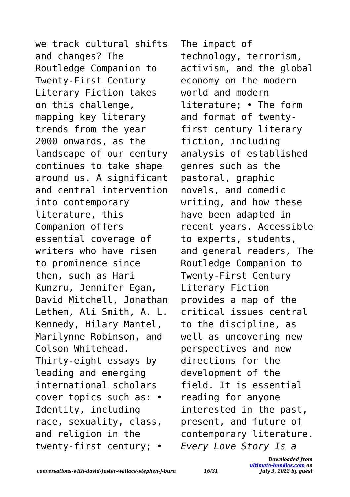we track cultural shifts and changes? The Routledge Companion to Twenty-First Century Literary Fiction takes on this challenge, mapping key literary trends from the year 2000 onwards, as the landscape of our century continues to take shape around us. A significant and central intervention into contemporary literature, this Companion offers essential coverage of writers who have risen to prominence since then, such as Hari Kunzru, Jennifer Egan, David Mitchell, Jonathan Lethem, Ali Smith, A. L. Kennedy, Hilary Mantel, Marilynne Robinson, and Colson Whitehead. Thirty-eight essays by leading and emerging international scholars cover topics such as: • Identity, including race, sexuality, class, and religion in the twenty-first century; •

The impact of technology, terrorism, activism, and the global economy on the modern world and modern literature; • The form and format of twentyfirst century literary fiction, including analysis of established genres such as the pastoral, graphic novels, and comedic writing, and how these have been adapted in recent years. Accessible to experts, students, and general readers, The Routledge Companion to Twenty-First Century Literary Fiction provides a map of the critical issues central to the discipline, as well as uncovering new perspectives and new directions for the development of the field. It is essential reading for anyone interested in the past, present, and future of contemporary literature. *Every Love Story Is a*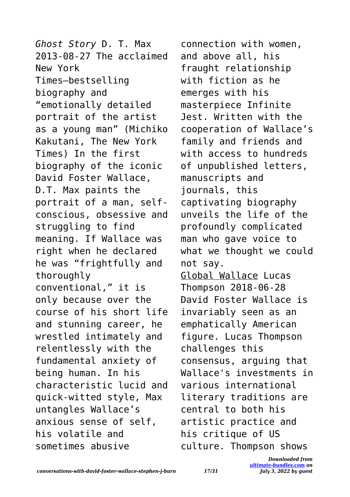*Ghost Story* D. T. Max 2013-08-27 The acclaimed New York Times–bestselling biography and "emotionally detailed portrait of the artist as a young man" (Michiko Kakutani, The New York Times) In the first biography of the iconic David Foster Wallace, D.T. Max paints the portrait of a man, selfconscious, obsessive and struggling to find meaning. If Wallace was right when he declared he was "frightfully and thoroughly conventional," it is only because over the course of his short life and stunning career, he wrestled intimately and relentlessly with the fundamental anxiety of being human. In his characteristic lucid and quick-witted style, Max untangles Wallace's anxious sense of self, his volatile and sometimes abusive

connection with women, and above all, his fraught relationship with fiction as he emerges with his masterpiece Infinite Jest. Written with the cooperation of Wallace's family and friends and with access to hundreds of unpublished letters, manuscripts and journals, this captivating biography unveils the life of the profoundly complicated man who gave voice to what we thought we could not say. Global Wallace Lucas Thompson 2018-06-28

David Foster Wallace is invariably seen as an emphatically American figure. Lucas Thompson challenges this consensus, arguing that Wallace's investments in various international literary traditions are central to both his artistic practice and his critique of US culture. Thompson shows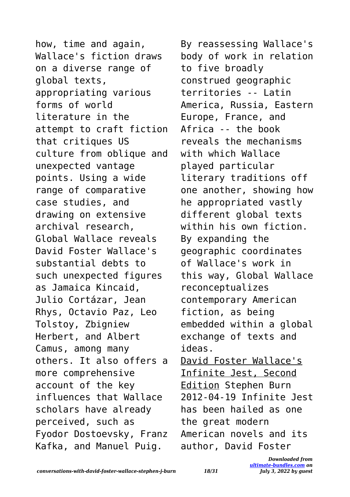how, time and again, Wallace's fiction draws on a diverse range of global texts, appropriating various forms of world literature in the attempt to craft fiction that critiques US culture from oblique and unexpected vantage points. Using a wide range of comparative case studies, and drawing on extensive archival research, Global Wallace reveals David Foster Wallace's substantial debts to such unexpected figures as Jamaica Kincaid, Julio Cortázar, Jean Rhys, Octavio Paz, Leo Tolstoy, Zbigniew Herbert, and Albert Camus, among many others. It also offers a more comprehensive account of the key influences that Wallace scholars have already perceived, such as Fyodor Dostoevsky, Franz Kafka, and Manuel Puig.

By reassessing Wallace's body of work in relation to five broadly construed geographic territories -- Latin America, Russia, Eastern Europe, France, and Africa -- the book reveals the mechanisms with which Wallace played particular literary traditions off one another, showing how he appropriated vastly different global texts within his own fiction. By expanding the geographic coordinates of Wallace's work in this way, Global Wallace reconceptualizes contemporary American fiction, as being embedded within a global exchange of texts and ideas. David Foster Wallace's Infinite Jest, Second Edition Stephen Burn 2012-04-19 Infinite Jest has been hailed as one the great modern American novels and its author, David Foster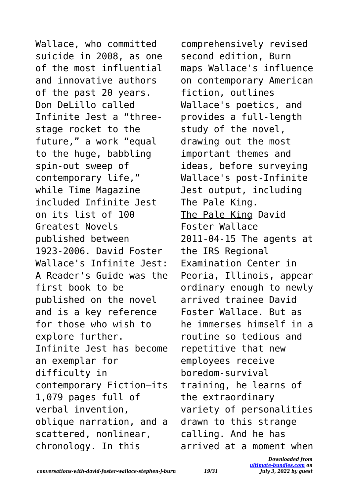Wallace, who committed suicide in 2008, as one of the most influential and innovative authors of the past 20 years. Don DeLillo called Infinite Jest a "threestage rocket to the future," a work "equal to the huge, babbling spin-out sweep of contemporary life," while Time Magazine included Infinite Jest on its list of 100 Greatest Novels published between 1923-2006. David Foster Wallace's Infinite Jest: A Reader's Guide was the first book to be published on the novel and is a key reference for those who wish to explore further. Infinite Jest has become an exemplar for difficulty in contemporary Fiction—its 1,079 pages full of verbal invention, oblique narration, and a scattered, nonlinear, chronology. In this

comprehensively revised second edition, Burn maps Wallace's influence on contemporary American fiction, outlines Wallace's poetics, and provides a full-length study of the novel, drawing out the most important themes and ideas, before surveying Wallace's post-Infinite Jest output, including The Pale King. The Pale King David Foster Wallace 2011-04-15 The agents at the IRS Regional Examination Center in Peoria, Illinois, appear ordinary enough to newly arrived trainee David Foster Wallace. But as he immerses himself in a routine so tedious and repetitive that new employees receive boredom-survival training, he learns of the extraordinary variety of personalities drawn to this strange calling. And he has arrived at a moment when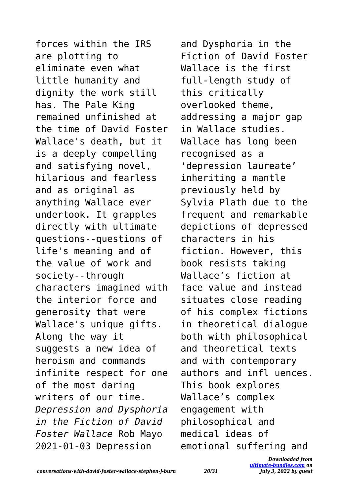forces within the IRS are plotting to eliminate even what little humanity and dignity the work still has. The Pale King remained unfinished at the time of David Foster Wallace's death, but it is a deeply compelling and satisfying novel, hilarious and fearless and as original as anything Wallace ever undertook. It grapples directly with ultimate questions--questions of life's meaning and of the value of work and society--through characters imagined with the interior force and generosity that were Wallace's unique gifts. Along the way it suggests a new idea of heroism and commands infinite respect for one of the most daring writers of our time. *Depression and Dysphoria in the Fiction of David Foster Wallace* Rob Mayo 2021-01-03 Depression

and Dysphoria in the Fiction of David Foster Wallace is the first full-length study of this critically overlooked theme, addressing a major gap in Wallace studies. Wallace has long been recognised as a 'depression laureate' inheriting a mantle previously held by Sylvia Plath due to the frequent and remarkable depictions of depressed characters in his fiction. However, this book resists taking Wallace's fiction at face value and instead situates close reading of his complex fictions in theoretical dialogue both with philosophical and theoretical texts and with contemporary authors and infl uences. This book explores Wallace's complex engagement with philosophical and medical ideas of emotional suffering and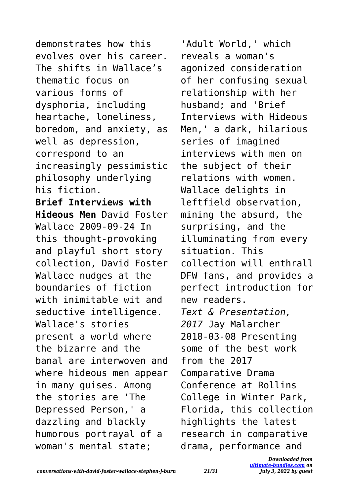demonstrates how this evolves over his career. The shifts in Wallace's thematic focus on various forms of dysphoria, including heartache, loneliness, boredom, and anxiety, as well as depression, correspond to an increasingly pessimistic philosophy underlying his fiction. **Brief Interviews with Hideous Men** David Foster Wallace 2009-09-24 In this thought-provoking and playful short story collection, David Foster Wallace nudges at the boundaries of fiction with inimitable wit and seductive intelligence. Wallace's stories present a world where the bizarre and the banal are interwoven and where hideous men appear in many guises. Among the stories are 'The Depressed Person,' a dazzling and blackly humorous portrayal of a woman's mental state;

'Adult World,' which reveals a woman's agonized consideration of her confusing sexual relationship with her husband; and 'Brief Interviews with Hideous Men,' a dark, hilarious series of imagined interviews with men on the subject of their relations with women. Wallace delights in leftfield observation, mining the absurd, the surprising, and the illuminating from every situation. This collection will enthrall DFW fans, and provides a perfect introduction for new readers. *Text & Presentation, 2017* Jay Malarcher 2018-03-08 Presenting some of the best work from the 2017 Comparative Drama Conference at Rollins College in Winter Park, Florida, this collection highlights the latest research in comparative drama, performance and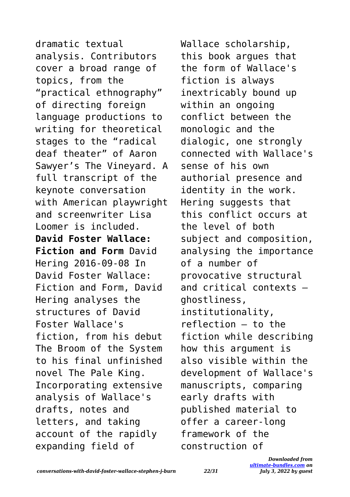dramatic textual analysis. Contributors cover a broad range of topics, from the "practical ethnography" of directing foreign language productions to writing for theoretical stages to the "radical deaf theater" of Aaron Sawyer's The Vineyard. A full transcript of the keynote conversation with American playwright and screenwriter Lisa Loomer is included. **David Foster Wallace: Fiction and Form** David Hering 2016-09-08 In David Foster Wallace: Fiction and Form, David Hering analyses the structures of David Foster Wallace's fiction, from his debut The Broom of the System to his final unfinished novel The Pale King. Incorporating extensive analysis of Wallace's drafts, notes and letters, and taking account of the rapidly expanding field of

Wallace scholarship, this book argues that the form of Wallace's fiction is always inextricably bound up within an ongoing conflict between the monologic and the dialogic, one strongly connected with Wallace's sense of his own authorial presence and identity in the work. Hering suggests that this conflict occurs at the level of both subject and composition, analysing the importance of a number of provocative structural and critical contexts – ghostliness, institutionality, reflection – to the fiction while describing how this argument is also visible within the development of Wallace's manuscripts, comparing early drafts with published material to offer a career-long framework of the construction of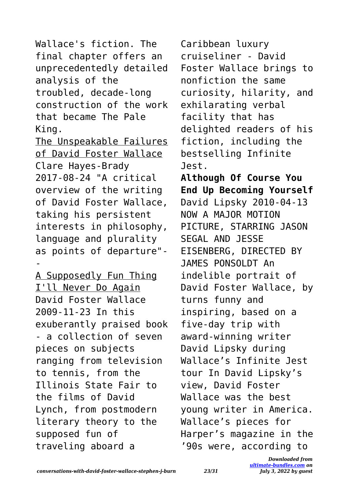Wallace's fiction. The final chapter offers an unprecedentedly detailed analysis of the troubled, decade-long construction of the work that became The Pale King.

The Unspeakable Failures of David Foster Wallace Clare Hayes-Brady 2017-08-24 "A critical overview of the writing of David Foster Wallace, taking his persistent interests in philosophy, language and plurality as points of departure"- -

A Supposedly Fun Thing I'll Never Do Again David Foster Wallace 2009-11-23 In this exuberantly praised book - a collection of seven pieces on subjects ranging from television to tennis, from the Illinois State Fair to the films of David Lynch, from postmodern literary theory to the supposed fun of traveling aboard a

Caribbean luxury cruiseliner - David Foster Wallace brings to nonfiction the same curiosity, hilarity, and exhilarating verbal facility that has delighted readers of his fiction, including the bestselling Infinite Jest. **Although Of Course You End Up Becoming Yourself** David Lipsky 2010-04-13 NOW A MAJOR MOTION PICTURE, STARRING JASON SEGAL AND JESSE EISENBERG, DIRECTED BY JAMES PONSOLDT An indelible portrait of David Foster Wallace, by turns funny and inspiring, based on a five-day trip with award-winning writer David Lipsky during Wallace's Infinite Jest tour In David Lipsky's view, David Foster Wallace was the best young writer in America. Wallace's pieces for Harper's magazine in the '90s were, according to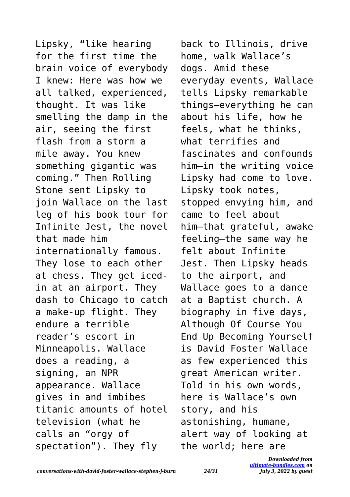Lipsky, "like hearing for the first time the brain voice of everybody I knew: Here was how we all talked, experienced, thought. It was like smelling the damp in the air, seeing the first flash from a storm a mile away. You knew something gigantic was coming." Then Rolling Stone sent Lipsky to join Wallace on the last leg of his book tour for Infinite Jest, the novel that made him internationally famous. They lose to each other at chess. They get icedin at an airport. They dash to Chicago to catch a make-up flight. They endure a terrible reader's escort in Minneapolis. Wallace does a reading, a signing, an NPR appearance. Wallace gives in and imbibes titanic amounts of hotel television (what he calls an "orgy of spectation"). They fly

back to Illinois, drive home, walk Wallace's dogs. Amid these everyday events, Wallace tells Lipsky remarkable things—everything he can about his life, how he feels, what he thinks, what terrifies and fascinates and confounds him—in the writing voice Lipsky had come to love. Lipsky took notes, stopped envying him, and came to feel about him—that grateful, awake feeling—the same way he felt about Infinite Jest. Then Lipsky heads to the airport, and Wallace goes to a dance at a Baptist church. A biography in five days, Although Of Course You End Up Becoming Yourself is David Foster Wallace as few experienced this great American writer. Told in his own words, here is Wallace's own story, and his astonishing, humane, alert way of looking at the world; here are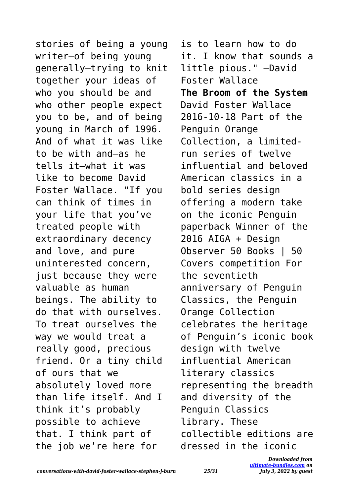stories of being a young writer—of being young generally—trying to knit together your ideas of who you should be and who other people expect you to be, and of being young in March of 1996. And of what it was like to be with and—as he tells it—what it was like to become David Foster Wallace. "If you can think of times in your life that you've treated people with extraordinary decency and love, and pure uninterested concern, just because they were valuable as human beings. The ability to do that with ourselves. To treat ourselves the way we would treat a really good, precious friend. Or a tiny child of ours that we absolutely loved more than life itself. And I think it's probably possible to achieve that. I think part of the job we're here for

is to learn how to do it. I know that sounds a little pious." —David Foster Wallace **The Broom of the System** David Foster Wallace 2016-10-18 Part of the Penguin Orange Collection, a limitedrun series of twelve influential and beloved American classics in a bold series design offering a modern take on the iconic Penguin paperback Winner of the 2016 AIGA + Design Observer 50 Books | 50 Covers competition For the seventieth anniversary of Penguin Classics, the Penguin Orange Collection celebrates the heritage of Penguin's iconic book design with twelve influential American literary classics representing the breadth and diversity of the Penguin Classics library. These collectible editions are dressed in the iconic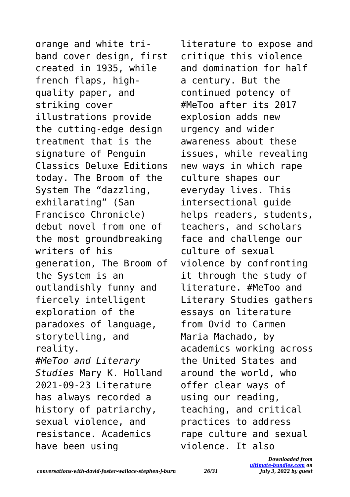orange and white triband cover design, first created in 1935, while french flaps, highquality paper, and striking cover illustrations provide the cutting-edge design treatment that is the signature of Penguin Classics Deluxe Editions today. The Broom of the System The "dazzling, exhilarating" (San Francisco Chronicle) debut novel from one of the most groundbreaking writers of his generation, The Broom of the System is an outlandishly funny and fiercely intelligent exploration of the paradoxes of language, storytelling, and reality. *#MeToo and Literary Studies* Mary K. Holland 2021-09-23 Literature has always recorded a history of patriarchy, sexual violence, and resistance. Academics have been using

literature to expose and critique this violence and domination for half a century. But the continued potency of #MeToo after its 2017 explosion adds new urgency and wider awareness about these issues, while revealing new ways in which rape culture shapes our everyday lives. This intersectional guide helps readers, students, teachers, and scholars face and challenge our culture of sexual violence by confronting it through the study of literature. #MeToo and Literary Studies gathers essays on literature from Ovid to Carmen Maria Machado, by academics working across the United States and around the world, who offer clear ways of using our reading, teaching, and critical practices to address rape culture and sexual violence. It also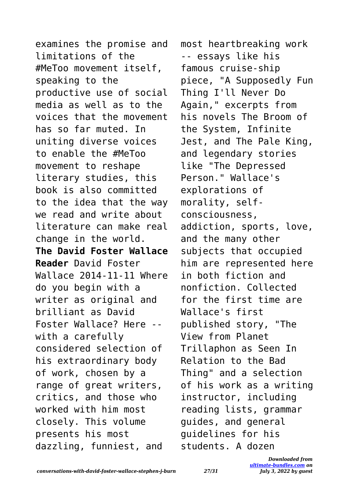examines the promise and limitations of the #MeToo movement itself, speaking to the productive use of social media as well as to the voices that the movement has so far muted. In uniting diverse voices to enable the #MeToo movement to reshape literary studies, this book is also committed to the idea that the way we read and write about literature can make real change in the world. **The David Foster Wallace Reader** David Foster Wallace 2014-11-11 Where do you begin with a writer as original and brilliant as David Foster Wallace? Here - with a carefully considered selection of his extraordinary body of work, chosen by a range of great writers, critics, and those who worked with him most closely. This volume presents his most dazzling, funniest, and

most heartbreaking work -- essays like his famous cruise-ship piece, "A Supposedly Fun Thing I'll Never Do Again," excerpts from his novels The Broom of the System, Infinite Jest, and The Pale King, and legendary stories like "The Depressed Person." Wallace's explorations of morality, selfconsciousness, addiction, sports, love, and the many other subjects that occupied him are represented here in both fiction and nonfiction. Collected for the first time are Wallace's first published story, "The View from Planet Trillaphon as Seen In Relation to the Bad Thing" and a selection of his work as a writing instructor, including reading lists, grammar guides, and general guidelines for his students. A dozen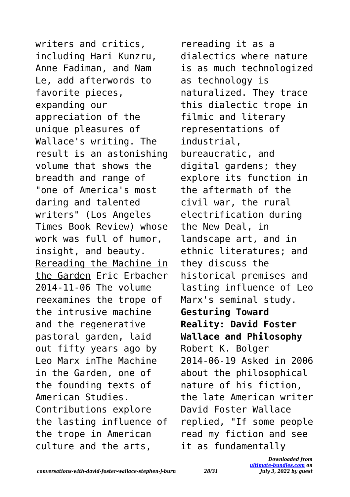writers and critics, including Hari Kunzru, Anne Fadiman, and Nam Le, add afterwords to favorite pieces, expanding our appreciation of the unique pleasures of Wallace's writing. The result is an astonishing volume that shows the breadth and range of "one of America's most daring and talented writers" (Los Angeles Times Book Review) whose work was full of humor, insight, and beauty. Rereading the Machine in the Garden Eric Erbacher 2014-11-06 The volume reexamines the trope of the intrusive machine and the regenerative pastoral garden, laid out fifty years ago by Leo Marx inThe Machine in the Garden, one of the founding texts of American Studies. Contributions explore the lasting influence of the trope in American culture and the arts,

rereading it as a dialectics where nature is as much technologized as technology is naturalized. They trace this dialectic trope in filmic and literary representations of industrial, bureaucratic, and digital gardens; they explore its function in the aftermath of the civil war, the rural electrification during the New Deal, in landscape art, and in ethnic literatures; and they discuss the historical premises and lasting influence of Leo Marx's seminal study. **Gesturing Toward Reality: David Foster Wallace and Philosophy** Robert K. Bolger 2014-06-19 Asked in 2006 about the philosophical nature of his fiction, the late American writer David Foster Wallace replied, "If some people read my fiction and see it as fundamentally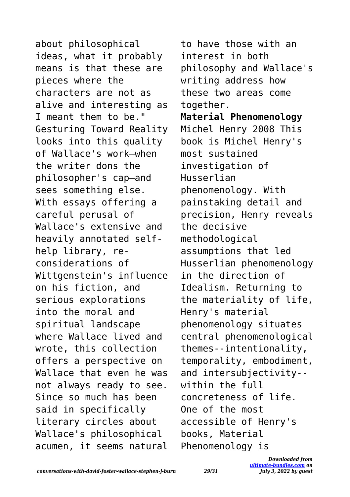about philosophical ideas, what it probably means is that these are pieces where the characters are not as alive and interesting as I meant them to be." Gesturing Toward Reality looks into this quality of Wallace's work—when the writer dons the philosopher's cap—and sees something else. With essays offering a careful perusal of Wallace's extensive and heavily annotated selfhelp library, reconsiderations of Wittgenstein's influence on his fiction, and serious explorations into the moral and spiritual landscape where Wallace lived and wrote, this collection offers a perspective on Wallace that even he was not always ready to see. Since so much has been said in specifically literary circles about Wallace's philosophical acumen, it seems natural to have those with an interest in both philosophy and Wallace's writing address how these two areas come together. **Material Phenomenology** Michel Henry 2008 This book is Michel Henry's most sustained investigation of Husserlian phenomenology. With painstaking detail and precision, Henry reveals the decisive methodological assumptions that led Husserlian phenomenology in the direction of Idealism. Returning to the materiality of life, Henry's material phenomenology situates central phenomenological themes--intentionality, temporality, embodiment, and intersubjectivity- within the full concreteness of life. One of the most accessible of Henry's books, Material Phenomenology is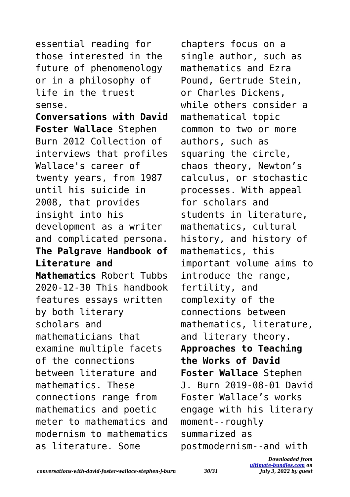essential reading for those interested in the future of phenomenology or in a philosophy of life in the truest sense.

**Conversations with David Foster Wallace** Stephen Burn 2012 Collection of interviews that profiles Wallace's career of twenty years, from 1987 until his suicide in 2008, that provides insight into his development as a writer and complicated persona. **The Palgrave Handbook of Literature and Mathematics** Robert Tubbs 2020-12-30 This handbook features essays written by both literary scholars and mathematicians that examine multiple facets of the connections between literature and mathematics. These connections range from mathematics and poetic meter to mathematics and modernism to mathematics as literature. Some

chapters focus on a single author, such as mathematics and Ezra Pound, Gertrude Stein, or Charles Dickens, while others consider a mathematical topic common to two or more authors, such as squaring the circle, chaos theory, Newton's calculus, or stochastic processes. With appeal for scholars and students in literature, mathematics, cultural history, and history of mathematics, this important volume aims to introduce the range, fertility, and complexity of the connections between mathematics, literature, and literary theory. **Approaches to Teaching the Works of David Foster Wallace** Stephen J. Burn 2019-08-01 David Foster Wallace's works engage with his literary moment--roughly summarized as postmodernism--and with